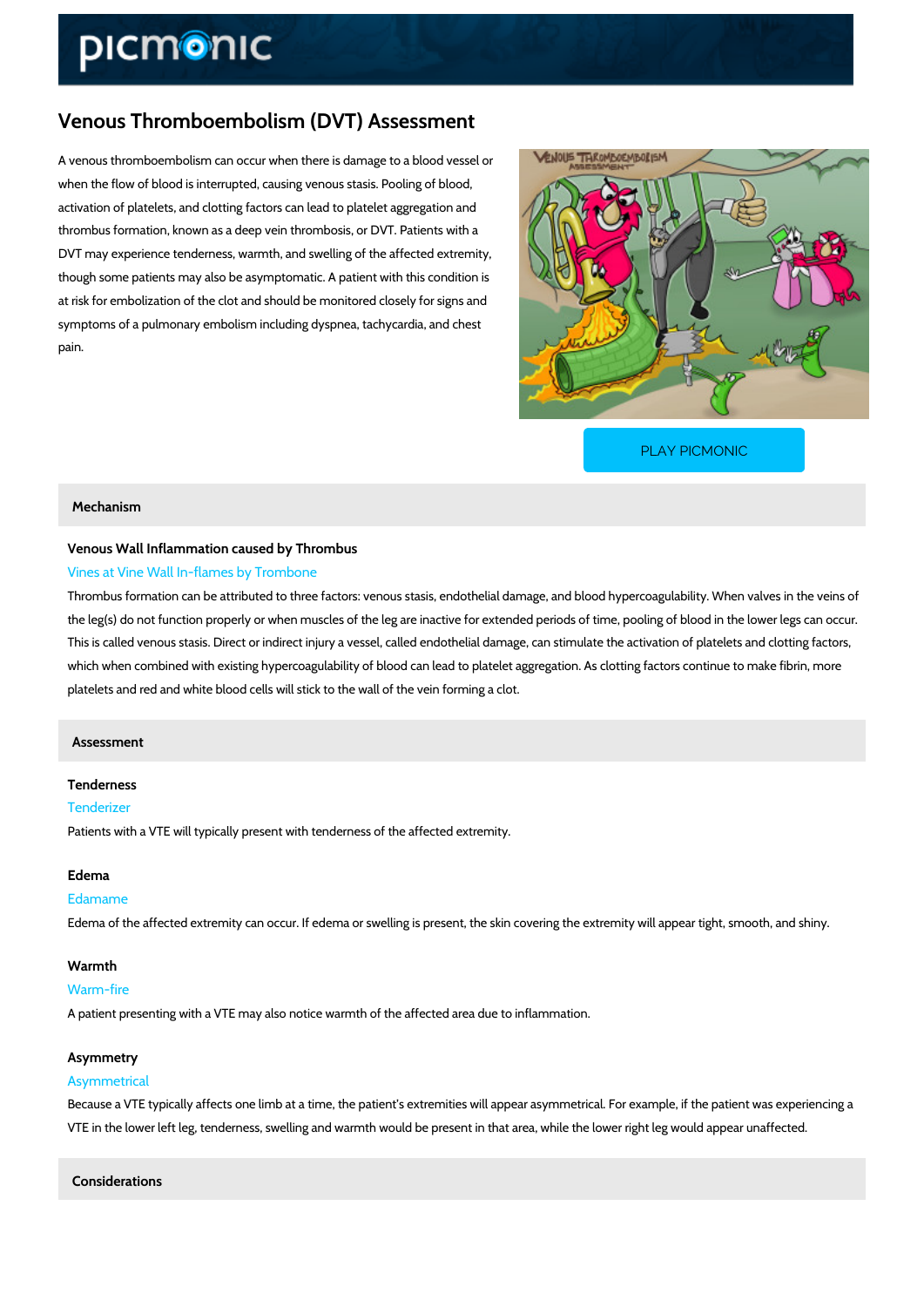# Venous Thromboembolism (DVT) Assessment

A venous thromboembolism can occur when there is damage to a blood vessel or when the flow of blood is interrupted, causing venous stasis. Pooling of blood, activation of platelets, and clotting factors can lead to platelet aggregation and thrombus formation, known as a deep vein thrombosis, or DVT. Patients with a DVT may experience tenderness, warmth, and swelling of the affected extremity, though some patients may also be asymptomatic. A patient with this condition is at risk for embolization of the clot and should be monitored closely for signs and symptoms of a pulmonary embolism including dyspnea, tachycardia, and chest pain.

[PLAY PICMONIC](https://www.picmonic.com/learn/venous-thromboembolism-dvt-assessment_2103?utm_source=downloadable_content&utm_medium=distributedcontent&utm_campaign=pathways_pdf&utm_content=Venous Thromboembolism (DVT) Assessment&utm_ad_group=leads&utm_market=all)

# Mechanism

# Venous Wall Inflammation caused by Thrombus Vines at Vine Wall In-flames by Trombone

Thrombus formation can be attributed to three factors: venous stasis, endothelial damage, and the leg(s) do not function properly or when muscles of the leg are inactive for extended perio This is called venous stasis. Direct or indirect injury a vessel, called endothelial damage, can which when combined with existing hypercoagulability of blood can lead to platelet aggregatio platelets and red and white blood cells will stick to the wall of the vein forming a clot.

# Assessment

# Tenderness

# Tenderizer

Patients with a VTE will typically present with tenderness of the affected extremity.

# Edema

#### Edamame

Edema of the affected extremity can occur. If edema or swelling is present, the skin covering

#### Warmth

#### Warm-fire

A patient presenting with a VTE may also notice warmth of the affected area due to inflammat

#### Asymmetry

# Asymmetrical

Because a VTE typically affects one limb at a time, the patient s extremities will appear asym VTE in the lower left leg, tenderness, swelling and warmth would be present in that area, whil

Considerations